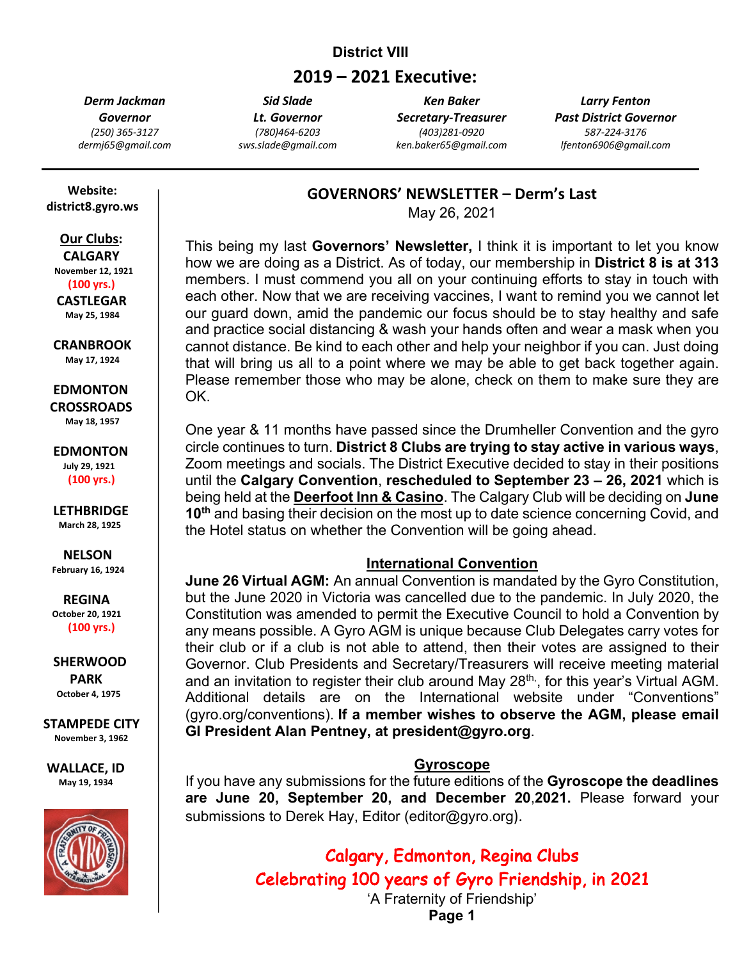## **District VIII**

# **2019 – 2021 Executive:**

*Derm Jackman Governor (250) 365-3127 dermj65@gmail.com*

*Sid Slade Lt. Governor (780)464-6203 sws.slade@gmail.com*

*Ken Baker Secretary-Treasurer (403)281-0920 ken.baker65@gmail.com*

*Larry Fenton Past District Governor 587-224-3176 lfenton6906@gmail.com*

## **GOVERNORS' NEWSLETTER – Derm's Last**

May 26, 2021

This being my last **Governors' Newsletter,** I think it is important to let you know how we are doing as a District. As of today, our membership in **District 8 is at 313** members. I must commend you all on your continuing efforts to stay in touch with each other. Now that we are receiving vaccines, I want to remind you we cannot let our guard down, amid the pandemic our focus should be to stay healthy and safe and practice social distancing & wash your hands often and wear a mask when you cannot distance. Be kind to each other and help your neighbor if you can. Just doing that will bring us all to a point where we may be able to get back together again. Please remember those who may be alone, check on them to make sure they are OK.

One year & 11 months have passed since the Drumheller Convention and the gyro circle continues to turn. **District 8 Clubs are trying to stay active in various ways**, Zoom meetings and socials. The District Executive decided to stay in their positions until the **Calgary Convention**, **rescheduled to September 23 – 26, 2021** which is being held at the **Deerfoot Inn & Casino**. The Calgary Club will be deciding on **June 10th** and basing their decision on the most up to date science concerning Covid, and the Hotel status on whether the Convention will be going ahead.

## **International Convention**

**June 26 Virtual AGM:** An annual Convention is mandated by the Gyro Constitution, but the June 2020 in Victoria was cancelled due to the pandemic. In July 2020, the Constitution was amended to permit the Executive Council to hold a Convention by any means possible. A Gyro AGM is unique because Club Delegates carry votes for their club or if a club is not able to attend, then their votes are assigned to their Governor. Club Presidents and Secretary/Treasurers will receive meeting material and an invitation to register their club around May 28<sup>th,</sup>, for this year's Virtual AGM. Additional details are on the International website under "Conventions" (gyro.org/conventions). **If a member wishes to observe the AGM, please email GI President Alan Pentney, at president@gyro.org**.

## **Gyroscope**

If you have any submissions for the future editions of the **Gyroscope the deadlines are June 20, September 20, and December 20**,**2021.** Please forward your submissions to Derek Hay, Editor (editor@gyro.org).

> Calgary, Edmonton, Regina Clubs Celebrating 100 years of Gyro Friendship, in 2021 'A Fraternity of Friendship'

> > **Page 1**

 **Website: district8.gyro.ws**

# **Our Clubs:**

 **CALGARY November 12, 1921 (100 yrs.) CASTLEGAR May 25, 1984**

 **CRANBROOK May 17, 1924**

 **EDMONTON CROSSROADS May 18, 1957**

 **EDMONTON July 29, 1921 (100 yrs.)**

 **LETHBRIDGE March 28, 1925**

 **NELSON February 16, 1924**

 **REGINA October 20, <sup>1921</sup> (100 yrs.)**

 **SHERWOOD PARK October 4, 1975**

**STAMPEDE CITY November 3, 1962**

**WALLACE, ID May 19, 1934**